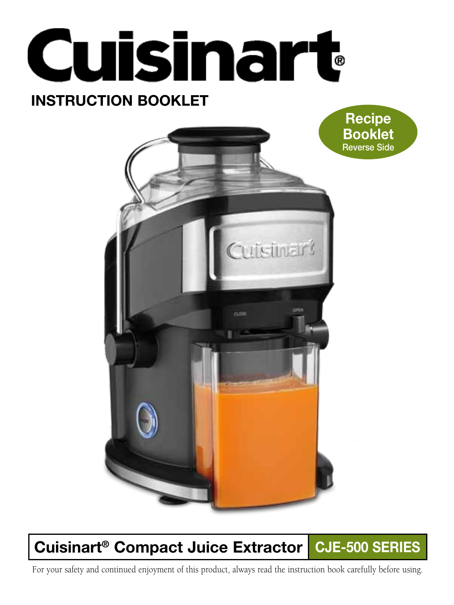



# Cuisinart<sup>®</sup> Compact Juice Extractor CJE-500 SERIES

For your safety and continued enjoyment of this product, always read the instruction book carefully before using.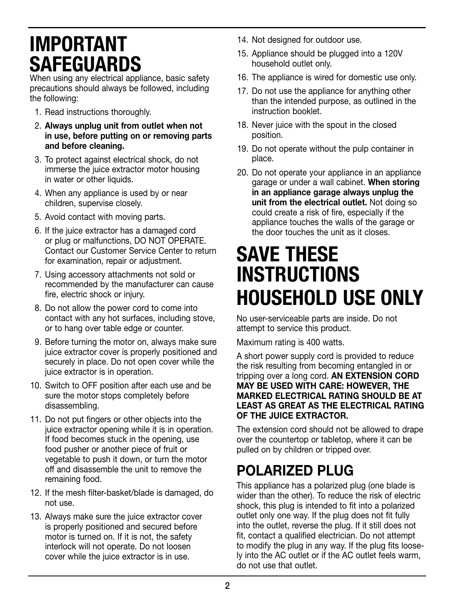# IMPORTANT SAFEGUARDS

When using any electrical appliance, basic safety precautions should always be followed, including the following:

- 1. Read instructions thoroughly.
- 2. Always unplug unit from outlet when not in use, before putting on or removing parts and before cleaning.
- 3. To protect against electrical shock, do not immerse the juice extractor motor housing in water or other liquids.
- 4. When any appliance is used by or near children, supervise closely.
- 5. Avoid contact with moving parts.
- 6. If the juice extractor has a damaged cord or plug or malfunctions, DO NOT OPERATE. Contact our Customer Service Center to return for examination, repair or adjustment.
- 7. Using accessory attachments not sold or recommended by the manufacturer can cause fire, electric shock or injury.
- 8. Do not allow the power cord to come into contact with any hot surfaces, including stove, or to hang over table edge or counter.
- 9. Before turning the motor on, always make sure juice extractor cover is properly positioned and securely in place. Do not open cover while the juice extractor is in operation.
- 10. Switch to OFF position after each use and be sure the motor stops completely before disassembling.
- 11. Do not put fingers or other objects into the juice extractor opening while it is in operation. If food becomes stuck in the opening, use food pusher or another piece of fruit or vegetable to push it down, or turn the motor off and disassemble the unit to remove the remaining food.
- 12. If the mesh filter-basket/blade is damaged, do not use.
- 13. Always make sure the juice extractor cover is properly positioned and secured before motor is turned on. If it is not, the safety interlock will not operate. Do not loosen cover while the juice extractor is in use.
- 14. Not designed for outdoor use.
- 15. Appliance should be plugged into a 120V household outlet only.
- 16. The appliance is wired for domestic use only.
- 17. Do not use the appliance for anything other than the intended purpose, as outlined in the instruction booklet.
- 18. Never juice with the spout in the closed position.
- 19. Do not operate without the pulp container in place.
- 20. Do not operate your appliance in an appliance garage or under a wall cabinet. When storing in an appliance garage always unplug the unit from the electrical outlet. Not doing so could create a risk of fire, especially if the appliance touches the walls of the garage or the door touches the unit as it closes.

# SAVE THESE INSTRUCTIONS HOUSEHOLD USE ONLY

No user-serviceable parts are inside. Do not attempt to service this product.

Maximum rating is 400 watts.

A short power supply cord is provided to reduce the risk resulting from becoming entangled in or tripping over a long cord. AN EXTENSION CORD MAY BE USED WITH CARE: HOWEVER, THE MARKED ELECTRICAL RATING SHOULD BE AT LEAST AS GREAT AS THE ELECTRICAL RATING OF THE JUICE EXTRACTOR.

The extension cord should not be allowed to drape over the countertop or tabletop, where it can be pulled on by children or tripped over.

# POLARIZED PLUG

This appliance has a polarized plug (one blade is wider than the other). To reduce the risk of electric shock, this plug is intended to fit into a polarized outlet only one way. If the plug does not fit fully into the outlet, reverse the plug. If it still does not fit, contact a qualified electrician. Do not attempt to modify the plug in any way. If the plug fits loosely into the AC outlet or if the AC outlet feels warm, do not use that outlet.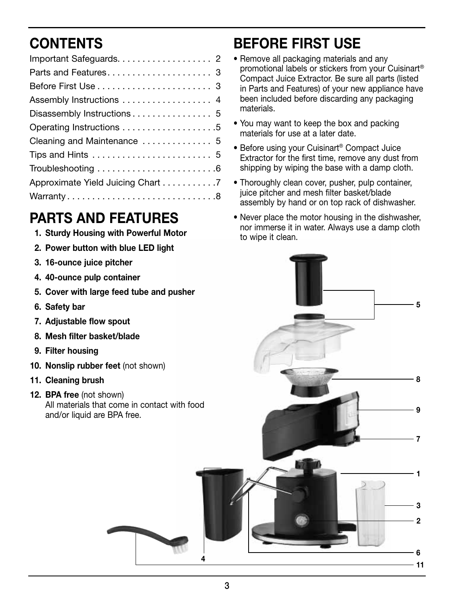# **CONTENTS**

| Assembly Instructions  4                                                  |
|---------------------------------------------------------------------------|
|                                                                           |
|                                                                           |
| Cleaning and Maintenance  5                                               |
| Tips and Hints $\ldots \ldots \ldots \ldots \ldots \ldots \ldots 5$       |
| Troubleshooting $\ldots \ldots \ldots \ldots \ldots \ldots \ldots \ldots$ |
| Approximate Yield Juicing Chart 7                                         |
| Warranty8                                                                 |
|                                                                           |

### Parts and features

- 1. Sturdy Housing with Powerful Motor
- 2. Power button with blue LED light
- 3. 16-ounce juice pitcher
- 4. 40-ounce pulp container
- 5. Cover with large feed tube and pusher
- 6. Safety bar
- 7. Adjustable flow spout
- 8. Mesh filter basket/blade
- 9. Filter housing
- 10. Nonslip rubber feet (not shown)
- 11. Cleaning brush
- 12. BPA free (not shown) All materials that come in contact with food and/or liquid are BPA free.

## before first use

- Remove all packaging materials and any promotional labels or stickers from your Cuisinart® Compact Juice Extractor. Be sure all parts (listed in Parts and Features) of your new appliance have been included before discarding any packaging materials.
- You may want to keep the box and packing materials for use at a later date.
- Before using your Cuisinart® Compact Juice Extractor for the first time, remove any dust from shipping by wiping the base with a damp cloth.
- Thoroughly clean cover, pusher, pulp container, juice pitcher and mesh filter basket/blade assembly by hand or on top rack of dishwasher.
- Never place the motor housing in the dishwasher, nor immerse it in water. Always use a damp cloth to wipe it clean.

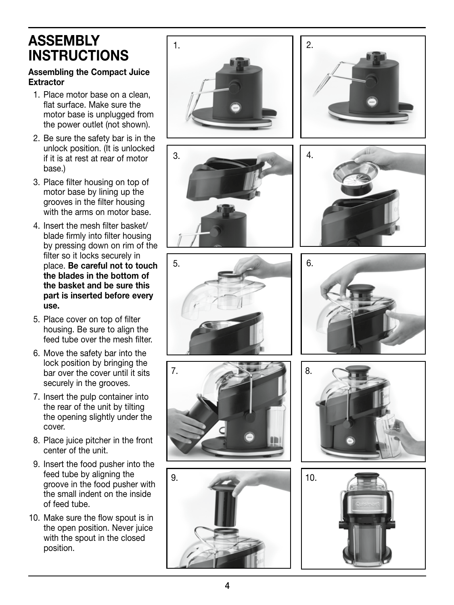### **ASSEMBLY INSTRUCTIONS**

#### Assembling the Compact Juice Extractor

- 1. Place motor base on a clean, flat surface. Make sure the motor base is unplugged from the power outlet (not shown).
- 2. Be sure the safety bar is in the unlock position. (It is unlocked if it is at rest at rear of motor base.)
- 3. Place filter housing on top of motor base by lining up the grooves in the filter housing with the arms on motor base.
- 4. Insert the mesh filter basket/ blade firmly into filter housing by pressing down on rim of the filter so it locks securely in place. Be careful not to touch the blades in the bottom of the basket and be sure this part is inserted before every use.
- 5. Place cover on top of filter housing. Be sure to align the feed tube over the mesh filter.
- 6. Move the safety bar into the lock position by bringing the bar over the cover until it sits securely in the grooves.
- 7. Insert the pulp container into the rear of the unit by tilting the opening slightly under the cover.
- 8. Place juice pitcher in the front center of the unit.
- 9. Insert the food pusher into the feed tube by aligning the groove in the food pusher with the small indent on the inside of feed tube.
- 10. Make sure the flow spout is in the open position. Never juice with the spout in the closed position.

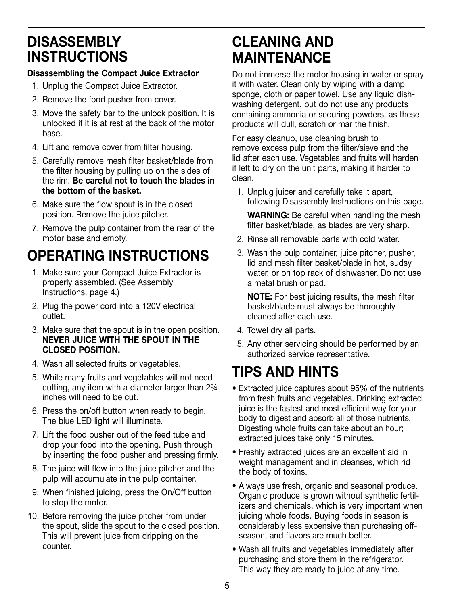### **DISASSEMBLY** instructions

#### Disassembling the Compact Juice Extractor

- 1. Unplug the Compact Juice Extractor.
- 2. Remove the food pusher from cover.
- 3. Move the safety bar to the unlock position. It is unlocked if it is at rest at the back of the motor base.
- 4. Lift and remove cover from filter housing.
- 5. Carefully remove mesh filter basket/blade from the filter housing by pulling up on the sides of the rim. Be careful not to touch the blades in the bottom of the basket.
- 6. Make sure the flow spout is in the closed position. Remove the juice pitcher.
- 7. Remove the pulp container from the rear of the motor base and empty.

# OPERATING INSTRUCTIONS

- 1. Make sure your Compact Juice Extractor is properly assembled. (See Assembly Instructions, page 4.)
- 2. Plug the power cord into a 120V electrical outlet.
- 3. Make sure that the spout is in the open position. Never juice with the spout in the closed position.
- 4. Wash all selected fruits or vegetables.
- 5. While many fruits and vegetables will not need cutting, any item with a diameter larger than 2¾ inches will need to be cut.
- 6. Press the on/off button when ready to begin. The blue LED light will illuminate.
- 7. Lift the food pusher out of the feed tube and drop your food into the opening. Push through by inserting the food pusher and pressing firmly.
- 8. The juice will flow into the juice pitcher and the pulp will accumulate in the pulp container.
- 9. When finished juicing, press the On/Off button to stop the motor.
- 10. Before removing the juice pitcher from under the spout, slide the spout to the closed position. This will prevent juice from dripping on the counter.

### Cleaning and maintenance

Do not immerse the motor housing in water or spray it with water. Clean only by wiping with a damp sponge, cloth or paper towel. Use any liquid dishwashing detergent, but do not use any products containing ammonia or scouring powders, as these products will dull, scratch or mar the finish.

For easy cleanup, use cleaning brush to remove excess pulp from the filter/sieve and the lid after each use. Vegetables and fruits will harden if left to dry on the unit parts, making it harder to clean.

1. Unplug juicer and carefully take it apart, following Disassembly Instructions on this page.

WARNING: Be careful when handling the mesh filter basket/blade, as blades are very sharp.

- 2. Rinse all removable parts with cold water.
- 3. Wash the pulp container, juice pitcher, pusher, lid and mesh filter basket/blade in hot, sudsy water, or on top rack of dishwasher. Do not use a metal brush or pad.

 NOTE: For best juicing results, the mesh filter basket/blade must always be thoroughly cleaned after each use.

- 4. Towel dry all parts.
- 5. Any other servicing should be performed by an authorized service representative.

## TIPS AND HINTS

- Extracted juice captures about 95% of the nutrients from fresh fruits and vegetables. Drinking extracted juice is the fastest and most efficient way for your body to digest and absorb all of those nutrients. Digesting whole fruits can take about an hour; extracted juices take only 15 minutes.
- Freshly extracted juices are an excellent aid in weight management and in cleanses, which rid the body of toxins.
- Always use fresh, organic and seasonal produce. Organic produce is grown without synthetic fertilizers and chemicals, which is very important when juicing whole foods. Buying foods in season is considerably less expensive than purchasing offseason, and flavors are much better.
- Wash all fruits and vegetables immediately after purchasing and store them in the refrigerator. This way they are ready to juice at any time.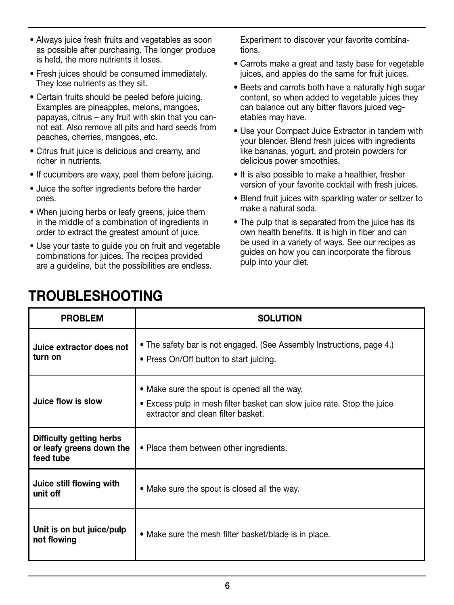- Always juice fresh fruits and vegetables as soon as possible after purchasing. The longer produce is held, the more nutrients it loses.
- Fresh juices should be consumed immediately. They lose nutrients as they sit.
- Certain fruits should be peeled before juicing. Examples are pineapples, melons, mangoes, papayas, citrus – any fruit with skin that you cannot eat. Also remove all pits and hard seeds from peaches, cherries, mangoes, etc.
- Citrus fruit juice is delicious and creamy, and richer in nutrients.
- If cucumbers are waxy, peel them before juicing.
- Juice the softer ingredients before the harder ones.
- When juicing herbs or leafy greens, juice them in the middle of a combination of ingredients in order to extract the greatest amount of juice.
- Use your taste to guide you on fruit and vegetable combinations for juices. The recipes provided are a guideline, but the possibilities are endless.

Experiment to discover your favorite combinations.

- Carrots make a great and tasty base for vegetable juices, and apples do the same for fruit juices.
- Beets and carrots both have a naturally high sugar content, so when added to vegetable juices they can balance out any bitter flavors juiced vegetables may have.
- Use your Compact Juice Extractor in tandem with your blender. Blend fresh juices with ingredients like bananas, yogurt, and protein powders for delicious power smoothies.
- It is also possible to make a healthier, fresher version of your favorite cocktail with fresh juices.
- Blend fruit juices with sparkling water or seltzer to make a natural soda.
- The pulp that is separated from the juice has its own health benefits. It is high in fiber and can be used in a variety of ways. See our recipes as guides on how you can incorporate the fibrous pulp into your diet.

| <b>PROBLEM</b>                                                    | <b>SOLUTION</b>                                                                                                                                               |  |  |
|-------------------------------------------------------------------|---------------------------------------------------------------------------------------------------------------------------------------------------------------|--|--|
| Juice extractor does not<br>turn on                               | • The safety bar is not engaged. (See Assembly Instructions, page 4.)<br>• Press On/Off button to start juicing.                                              |  |  |
| Juice flow is slow                                                | • Make sure the spout is opened all the way.<br>• Excess pulp in mesh filter basket can slow juice rate. Stop the juice<br>extractor and clean filter basket. |  |  |
| Difficulty getting herbs<br>or leafy greens down the<br>feed tube | • Place them between other ingredients.                                                                                                                       |  |  |
| Juice still flowing with<br>unit off                              | • Make sure the spout is closed all the way.                                                                                                                  |  |  |
| Unit is on but juice/pulp<br>not flowing                          | • Make sure the mesh filter basket/blade is in place.                                                                                                         |  |  |

### **TROUBLESHOOTING**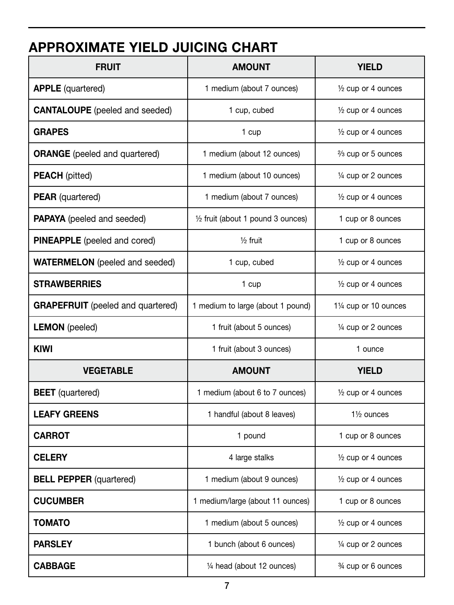## approximate yield juicing chart

| <b>FRUIT</b>                             | <b>AMOUNT</b>                                | <b>YIELD</b>                    |
|------------------------------------------|----------------------------------------------|---------------------------------|
| <b>APPLE</b> (quartered)                 | 1 medium (about 7 ounces)                    | $\frac{1}{2}$ cup or 4 ounces   |
| <b>CANTALOUPE</b> (peeled and seeded)    | 1 cup, cubed                                 | 1/2 cup or 4 ounces             |
| <b>GRAPES</b>                            | 1 cup                                        | $\frac{1}{2}$ cup or 4 ounces   |
| <b>ORANGE</b> (peeled and quartered)     | 1 medium (about 12 ounces)                   | 3/ <sub>3</sub> cup or 5 ounces |
| <b>PEACH</b> (pitted)                    | 1 medium (about 10 ounces)                   | 1/4 cup or 2 ounces             |
| <b>PEAR</b> (quartered)                  | 1 medium (about 7 ounces)                    | $\frac{1}{2}$ cup or 4 ounces   |
| <b>PAPAYA</b> (peeled and seeded)        | $\frac{1}{2}$ fruit (about 1 pound 3 ounces) | 1 cup or 8 ounces               |
| PINEAPPLE (peeled and cored)             | $1/2$ fruit                                  | 1 cup or 8 ounces               |
| <b>WATERMELON</b> (peeled and seeded)    | 1 cup, cubed                                 | $\frac{1}{2}$ cup or 4 ounces   |
| <b>STRAWBERRIES</b>                      | 1 cup                                        | $\frac{1}{2}$ cup or 4 ounces   |
| <b>GRAPEFRUIT</b> (peeled and quartered) | 1 medium to large (about 1 pound)            | 11/4 cup or 10 ounces           |
| <b>LEMON</b> (peeled)                    | 1 fruit (about 5 ounces)                     | 1/4 cup or 2 ounces             |
| <b>KIWI</b>                              | 1 fruit (about 3 ounces)                     | 1 ounce                         |
| <b>VEGETABLE</b>                         | <b>AMOUNT</b>                                | <b>YIELD</b>                    |
| <b>BEET</b> (quartered)                  | 1 medium (about 6 to 7 ounces)               | 1/2 cup or 4 ounces             |
| <b>LEAFY GREENS</b>                      | 1 handful (about 8 leaves)                   | $1\frac{1}{2}$ ounces           |
| <b>CARROT</b>                            | 1 pound                                      | 1 cup or 8 ounces               |
| <b>CELERY</b>                            | 4 large stalks                               | $\frac{1}{2}$ cup or 4 ounces   |
| <b>BELL PEPPER (quartered)</b>           | 1 medium (about 9 ounces)                    | $\frac{1}{2}$ cup or 4 ounces   |
| <b>CUCUMBER</b>                          | 1 medium/large (about 11 ounces)             | 1 cup or 8 ounces               |
| TOMATO                                   | 1 medium (about 5 ounces)                    | $\frac{1}{2}$ cup or 4 ounces   |
| <b>PARSLEY</b>                           | 1 bunch (about 6 ounces)                     | $\frac{1}{4}$ cup or 2 ounces   |
| <b>CABBAGE</b>                           | 1/4 head (about 12 ounces)                   | 3/4 cup or 6 ounces             |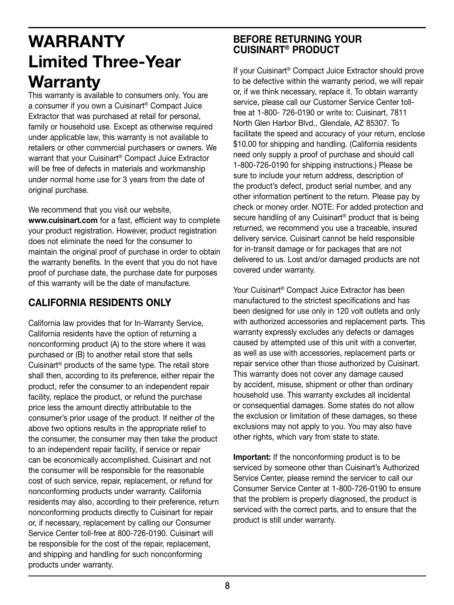# WARRANTY Limited Three-Year **Warranty**

This warranty is available to consumers only. You are a consumer if you own a Cuisinart® Compact Juice Extractor that was purchased at retail for personal, family or household use. Except as otherwise required under applicable law, this warranty is not available to retailers or other commercial purchasers or owners. We warrant that your Cuisinart® Compact Juice Extractor will be free of defects in materials and workmanship under normal home use for 3 years from the date of original purchase.

We recommend that you visit our website.

www.cuisinart.com for a fast, efficient way to complete your product registration. However, product registration does not eliminate the need for the consumer to maintain the original proof of purchase in order to obtain the warranty benefits. In the event that you do not have proof of purchase date, the purchase date for purposes of this warranty will be the date of manufacture.

#### CALIFORNIA RESIDENTS ONLY

California law provides that for In-Warranty Service, California residents have the option of returning a nonconforming product (A) to the store where it was purchased or (B) to another retail store that sells Cuisinart® products of the same type. The retail store shall then, according to its preference, either repair the product, refer the consumer to an independent repair facility, replace the product, or refund the purchase price less the amount directly attributable to the consumer's prior usage of the product. If neither of the above two options results in the appropriate relief to the consumer, the consumer may then take the product to an independent repair facility, if service or repair can be economically accomplished. Cuisinart and not the consumer will be responsible for the reasonable cost of such service, repair, replacement, or refund for nonconforming products under warranty. California residents may also, according to their preference, return nonconforming products directly to Cuisinart for repair or, if necessary, replacement by calling our Consumer Service Center toll-free at 800-726-0190. Cuisinart will be responsible for the cost of the repair, replacement, and shipping and handling for such nonconforming products under warranty.

#### BEFORE RETURNING YOUR CUISINART® PRODUCT

If your Cuisinart® Compact Juice Extractor should prove to be defective within the warranty period, we will repair or, if we think necessary, replace it. To obtain warranty service, please call our Customer Service Center tollfree at 1-800- 726-0190 or write to: Cuisinart, 7811 North Glen Harbor Blvd., Glendale, AZ 85307. To facilitate the speed and accuracy of your return, enclose \$10.00 for shipping and handling. (California residents need only supply a proof of purchase and should call 1-800-726-0190 for shipping instructions.) Please be sure to include your return address, description of the product's defect, product serial number, and any other information pertinent to the return. Please pay by check or money order. NOTE: For added protection and secure handling of any Cuisinart<sup>®</sup> product that is being returned, we recommend you use a traceable, insured delivery service. Cuisinart cannot be held responsible for in-transit damage or for packages that are not delivered to us. Lost and/or damaged products are not covered under warranty.

Your Cuisinart® Compact Juice Extractor has been manufactured to the strictest specifications and has been designed for use only in 120 volt outlets and only with authorized accessories and replacement parts. This warranty expressly excludes any defects or damages caused by attempted use of this unit with a converter, as well as use with accessories, replacement parts or repair service other than those authorized by Cuisinart. This warranty does not cover any damage caused by accident, misuse, shipment or other than ordinary household use. This warranty excludes all incidental or consequential damages. Some states do not allow the exclusion or limitation of these damages, so these exclusions may not apply to you. You may also have other rights, which vary from state to state.

**Important:** If the nonconforming product is to be serviced by someone other than Cuisinart's Authorized Service Center, please remind the servicer to call our Consumer Service Center at 1-800-726-0190 to ensure that the problem is properly diagnosed, the product is serviced with the correct parts, and to ensure that the product is still under warranty.